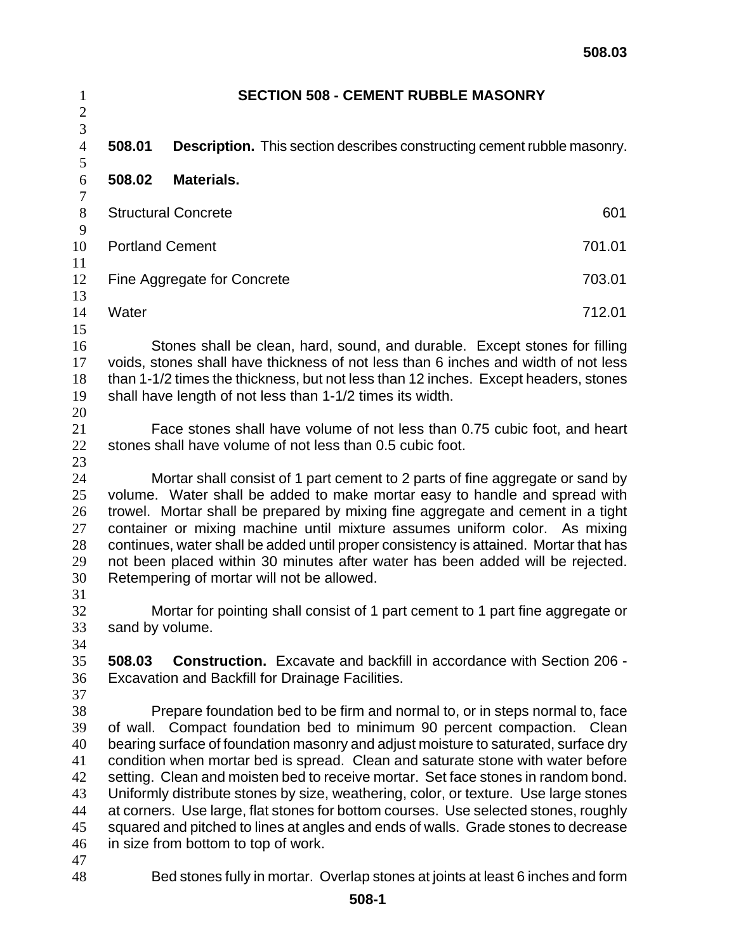| $\mathbf{1}$<br>$\overline{c}$                           | <b>SECTION 508 - CEMENT RUBBLE MASONRY</b> |                                                                                                                                                                                                                                                                                                                                                                                                                                                                                                                                                                                                                                                                                                                           |        |
|----------------------------------------------------------|--------------------------------------------|---------------------------------------------------------------------------------------------------------------------------------------------------------------------------------------------------------------------------------------------------------------------------------------------------------------------------------------------------------------------------------------------------------------------------------------------------------------------------------------------------------------------------------------------------------------------------------------------------------------------------------------------------------------------------------------------------------------------------|--------|
| $\overline{3}$<br>$\overline{4}$                         | 508.01                                     | <b>Description.</b> This section describes constructing cement rubble masonry.                                                                                                                                                                                                                                                                                                                                                                                                                                                                                                                                                                                                                                            |        |
| 5                                                        |                                            |                                                                                                                                                                                                                                                                                                                                                                                                                                                                                                                                                                                                                                                                                                                           |        |
| $\sqrt{6}$<br>$\boldsymbol{7}$                           | 508.02                                     | <b>Materials.</b>                                                                                                                                                                                                                                                                                                                                                                                                                                                                                                                                                                                                                                                                                                         |        |
| $8\,$<br>9                                               | <b>Structural Concrete</b><br>601          |                                                                                                                                                                                                                                                                                                                                                                                                                                                                                                                                                                                                                                                                                                                           |        |
| 10<br>11                                                 | <b>Portland Cement</b>                     |                                                                                                                                                                                                                                                                                                                                                                                                                                                                                                                                                                                                                                                                                                                           | 701.01 |
| 12<br>13                                                 | Fine Aggregate for Concrete                |                                                                                                                                                                                                                                                                                                                                                                                                                                                                                                                                                                                                                                                                                                                           | 703.01 |
| 14<br>15                                                 | Water                                      |                                                                                                                                                                                                                                                                                                                                                                                                                                                                                                                                                                                                                                                                                                                           | 712.01 |
| 16<br>17<br>18<br>19<br>20                               |                                            | Stones shall be clean, hard, sound, and durable. Except stones for filling<br>voids, stones shall have thickness of not less than 6 inches and width of not less<br>than 1-1/2 times the thickness, but not less than 12 inches. Except headers, stones<br>shall have length of not less than 1-1/2 times its width.                                                                                                                                                                                                                                                                                                                                                                                                      |        |
| 21<br>22<br>23                                           |                                            | Face stones shall have volume of not less than 0.75 cubic foot, and heart<br>stones shall have volume of not less than 0.5 cubic foot.                                                                                                                                                                                                                                                                                                                                                                                                                                                                                                                                                                                    |        |
| 24<br>25<br>26<br>27<br>28<br>29<br>30<br>31             |                                            | Mortar shall consist of 1 part cement to 2 parts of fine aggregate or sand by<br>volume. Water shall be added to make mortar easy to handle and spread with<br>trowel. Mortar shall be prepared by mixing fine aggregate and cement in a tight<br>container or mixing machine until mixture assumes uniform color. As mixing<br>continues, water shall be added until proper consistency is attained. Mortar that has<br>not been placed within 30 minutes after water has been added will be rejected.<br>Retempering of mortar will not be allowed.                                                                                                                                                                     |        |
| 32<br>33<br>34                                           | sand by volume.                            | Mortar for pointing shall consist of 1 part cement to 1 part fine aggregate or                                                                                                                                                                                                                                                                                                                                                                                                                                                                                                                                                                                                                                            |        |
| 35<br>36<br>37                                           | 508.03                                     | <b>Construction.</b> Excavate and backfill in accordance with Section 206 -<br>Excavation and Backfill for Drainage Facilities.                                                                                                                                                                                                                                                                                                                                                                                                                                                                                                                                                                                           |        |
| 38<br>39<br>40<br>41<br>42<br>43<br>44<br>45<br>46<br>47 | of wall.                                   | Prepare foundation bed to be firm and normal to, or in steps normal to, face<br>Compact foundation bed to minimum 90 percent compaction. Clean<br>bearing surface of foundation masonry and adjust moisture to saturated, surface dry<br>condition when mortar bed is spread. Clean and saturate stone with water before<br>setting. Clean and moisten bed to receive mortar. Set face stones in random bond.<br>Uniformly distribute stones by size, weathering, color, or texture. Use large stones<br>at corners. Use large, flat stones for bottom courses. Use selected stones, roughly<br>squared and pitched to lines at angles and ends of walls. Grade stones to decrease<br>in size from bottom to top of work. |        |
| 48                                                       |                                            | Bed stones fully in mortar. Overlap stones at joints at least 6 inches and form                                                                                                                                                                                                                                                                                                                                                                                                                                                                                                                                                                                                                                           |        |